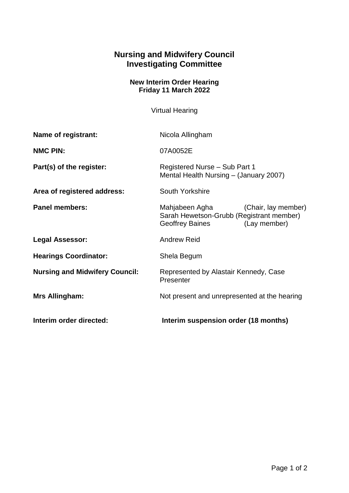## **Nursing and Midwifery Council Investigating Committee**

## **New Interim Order Hearing Friday 11 March 2022**

Virtual Hearing

| Name of registrant:                   | Nicola Allingham                                                                                                     |
|---------------------------------------|----------------------------------------------------------------------------------------------------------------------|
| <b>NMC PIN:</b>                       | 07A0052E                                                                                                             |
| Part(s) of the register:              | Registered Nurse - Sub Part 1<br>Mental Health Nursing - (January 2007)                                              |
| Area of registered address:           | South Yorkshire                                                                                                      |
| <b>Panel members:</b>                 | Mahjabeen Agha<br>(Chair, lay member)<br>Sarah Hewetson-Grubb (Registrant member)<br>Geoffrey Baines<br>(Lay member) |
| <b>Legal Assessor:</b>                | <b>Andrew Reid</b>                                                                                                   |
| <b>Hearings Coordinator:</b>          | Shela Begum                                                                                                          |
| <b>Nursing and Midwifery Council:</b> | Represented by Alastair Kennedy, Case<br>Presenter                                                                   |
| Mrs Allingham:                        | Not present and unrepresented at the hearing                                                                         |
| Interim order directed:               | Interim suspension order (18 months)                                                                                 |